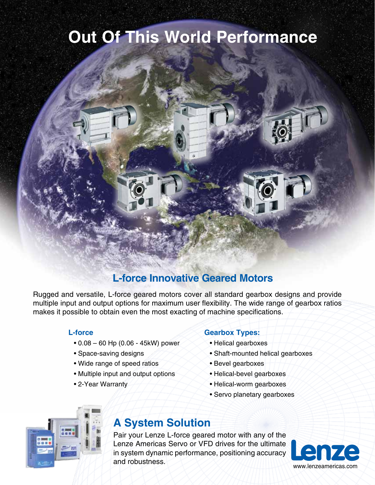# **Out Of This World Performance**



Rugged and versatile, L-force geared motors cover all standard gearbox designs and provide multiple input and output options for maximum user flexibility. The wide range of gearbox ratios makes it possible to obtain even the most exacting of machine specifications.

#### **L-force**

- 0.08 60 Hp (0.06 45kW) power
- Space-saving designs
- Wide range of speed ratios
- Multiple input and output options
- 2-Year Warranty

#### **Gearbox Types:**

- Helical gearboxes
- Shaft-mounted helical gearboxes
- Bevel gearboxes
- Helical-bevel gearboxes
- Helical-worm gearboxes
- Servo planetary gearboxes



## **A System Solution**

Pair your Lenze L-force geared motor with any of the Lenze Americas Servo or VFD drives for the ultimate in system dynamic performance, positioning accuracy and robustness.